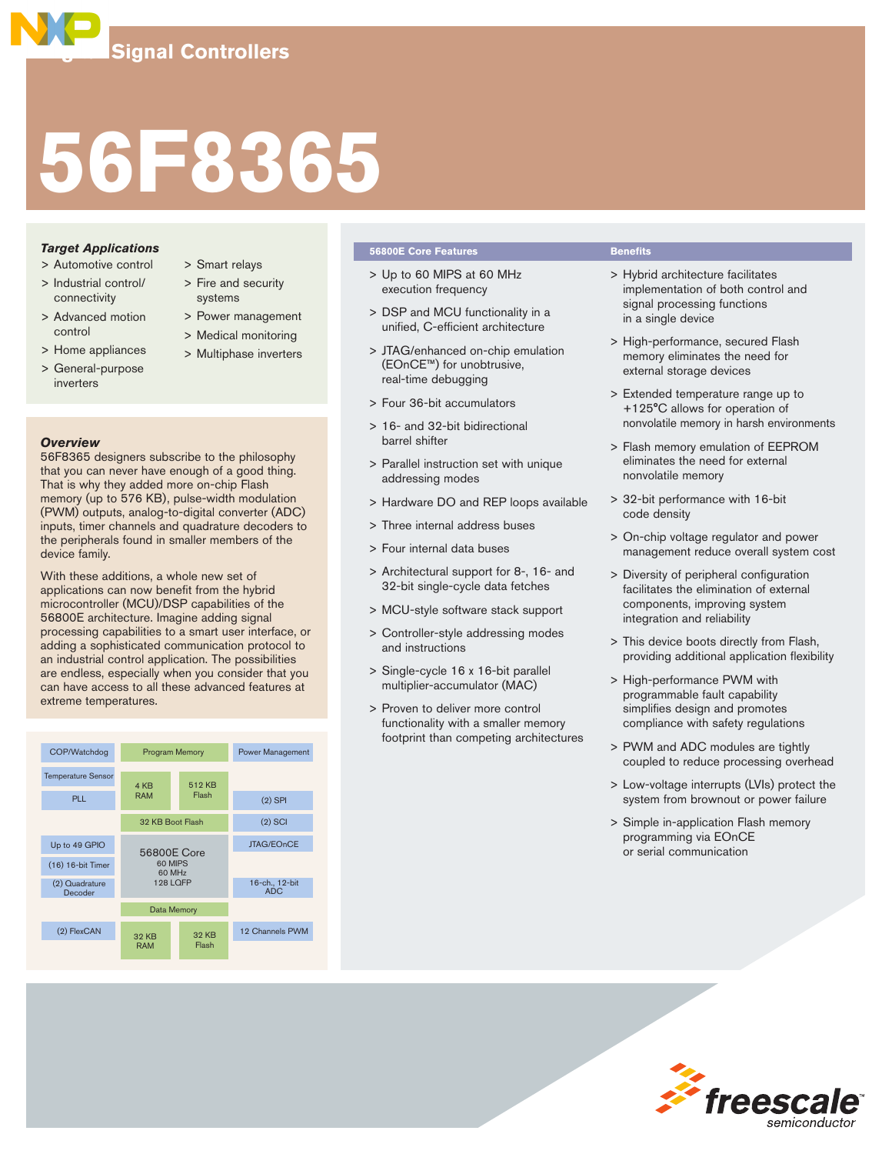# **56F8365**

# *Target Applications*

- > Automotive control
- > Industrial control/ connectivity
- > Advanced motion control
- > Home appliances
- inverters
- > Smart relays
	- > Fire and security systems
	- > Power management
	- > Medical monitoring
	- > Multiphase inverters
- > General-purpose
- *Overview*

56F8365 designers subscribe to the philosophy that you can never have enough of a good thing. That is why they added more on-chip Flash memory (up to 576 KB), pulse-width modulation (PWM) outputs, analog-to-digital converter (ADC) inputs, timer channels and quadrature decoders to the peripherals found in smaller members of the device family.

With these additions, a whole new set of applications can now benefit from the hybrid microcontroller (MCU)/DSP capabilities of the 56800E architecture. Imagine adding signal processing capabilities to a smart user interface, or adding a sophisticated communication protocol to an industrial control application. The possibilities are endless, especially when you consider that you can have access to all these advanced features at extreme temperatures.



## **56800E Core Features Benefits**

- > Up to 60 MIPS at 60 MHz execution frequency
- > DSP and MCU functionality in a unified, C-efficient architecture
- > JTAG/enhanced on-chip emulation (EOnCE™) for unobtrusive, real-time debugging
- > Four 36-bit accumulators
- > 16- and 32-bit bidirectional barrel shifter
- > Parallel instruction set with unique addressing modes
- > Hardware DO and REP loops available
- > Three internal address buses
- > Four internal data buses
- > Architectural support for 8-, 16- and 32-bit single-cycle data fetches
- > MCU-style software stack support
- > Controller-style addressing modes and instructions
- > Single-cycle 16 x 16-bit parallel multiplier-accumulator (MAC)
- > Proven to deliver more control functionality with a smaller memory footprint than competing architectures

- > Hybrid architecture facilitates implementation of both control and signal processing functions in a single device
- > High-performance, secured Flash memory eliminates the need for external storage devices
- > Extended temperature range up to +125°C allows for operation of nonvolatile memory in harsh environments
- > Flash memory emulation of EEPROM eliminates the need for external nonvolatile memory
- > 32-bit performance with 16-bit code density
- > On-chip voltage regulator and power management reduce overall system cost
- > Diversity of peripheral configuration facilitates the elimination of external components, improving system integration and reliability
- > This device boots directly from Flash, providing additional application flexibility
- > High-performance PWM with programmable fault capability simplifies design and promotes compliance with safety regulations
- > PWM and ADC modules are tightly coupled to reduce processing overhead
- > Low-voltage interrupts (LVIs) protect the system from brownout or power failure
- > Simple in-application Flash memory programming via EOnCE or serial communication